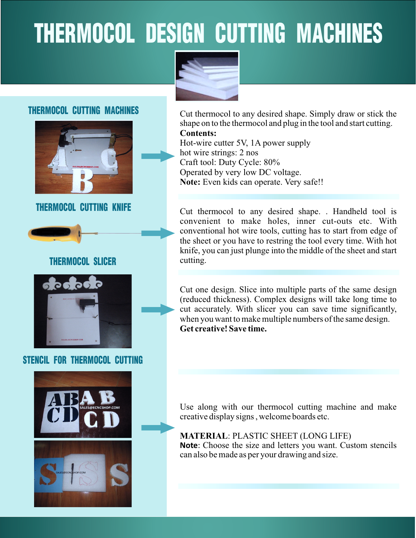# THERMOCOL DESIGN CUTTING MACHINES



### THERMOCOL CUTTING MACHINES



### THERMOCOL CUTTING KNIFE



### THERMOCOL SLICER



### STENCIL FOR THERMOCOL CUTTING





**MATERIAL**: PLASTIC SHEET (LONG LIFE) **Note**: Choose the size and letters you want. Custom stencils can also be made as per your drawing and size.

Cut thermocol to any desired shape. Simply draw or stick the shape on to the thermocol and plug in the tool and start cutting. **Contents:**

Hot-wire cutter 5V, 1A power supply hot wire strings: 2 nos Craft tool: Duty Cycle: 80% Operated by very low DC voltage. **Note:** Even kids can operate. Very safe!!

Cut thermocol to any desired shape. . Handheld tool is convenient to make holes, inner cut-outs etc. With conventional hot wire tools, cutting has to start from edge of the sheet or you have to restring the tool every time. With hot knife, you can just plunge into the middle of the sheet and start cutting.

Cut one design. Slice into multiple parts of the same design (reduced thickness). Complex designs will take long time to cut accurately. With slicer you can save time significantly, when you want to make multiple numbers of the same design. **Get creative! Save time.**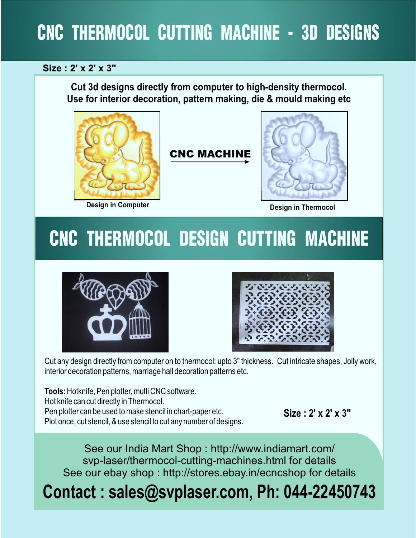# CNC THERMOCOL CUTTING MACHINE - 3D DESIGNS

### **Size : 2' x 2' x 3"**

**Cut 3d designs directly from computer to high-density thermocol. Use for interior decoration, pattern making, die & mould making etc**



### CNC MACHINE



**Design in Thermocol** 

# CNC THERMOCOL DESIGN CUTTING MACHINE





Cut any design directly from computer on to thermocol: upto 3" thickness. Cut intricate shapes, Jolly work, interior decoration patterns, marriage hall decoration patterns etc.

**Tools:** Hotknife, Pen plotter, multi CNC software. Hot knife can cut directly in Thermocol. Pen plotter can be used to make stencil in chart-paper etc. Plot once, cut stencil, & use stencil to cut any number of designs.

**Size : 2' x 2' x 3"**

See our India Mart Shop : http://www.indiamart.com/ svp-laser/thermocol-cutting-machines.html for details See our ebay shop : http://stores.ebay.in/ecncshop for details

# **Contact : sales@svplaser.com, Ph: 044-22450743**